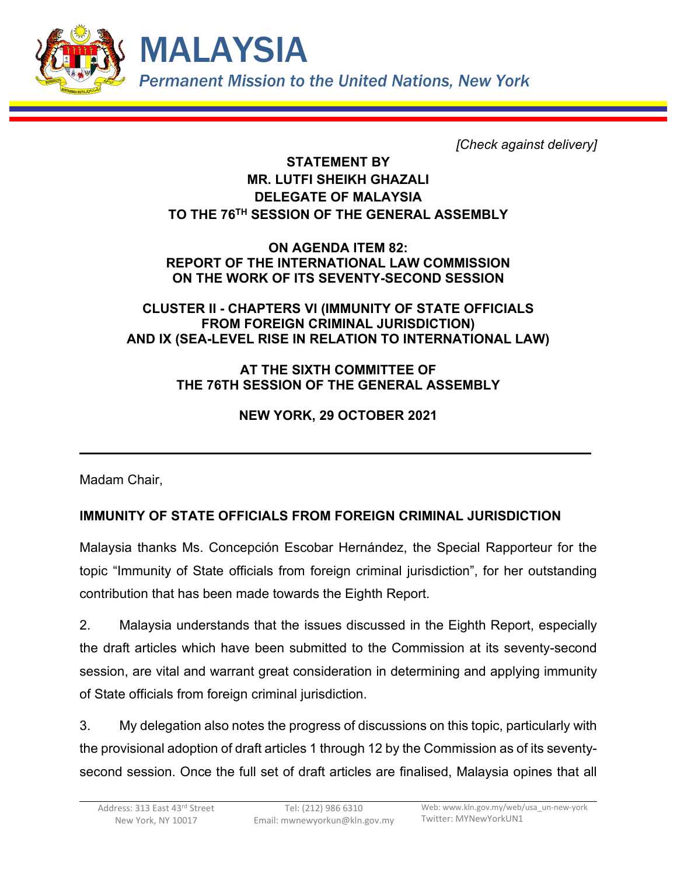

*[Check against delivery]*

## **STATEMENT BY MR. LUTFI SHEIKH GHAZALI DELEGATE OF MALAYSIA TO THE 76TH SESSION OF THE GENERAL ASSEMBLY**

**ON AGENDA ITEM 82: REPORT OF THE INTERNATIONAL LAW COMMISSION ON THE WORK OF ITS SEVENTY-SECOND SESSION**

## **CLUSTER II - CHAPTERS VI (IMMUNITY OF STATE OFFICIALS FROM FOREIGN CRIMINAL JURISDICTION) AND IX (SEA-LEVEL RISE IN RELATION TO INTERNATIONAL LAW)**

## **AT THE SIXTH COMMITTEE OF THE 76TH SESSION OF THE GENERAL ASSEMBLY**

**NEW YORK, 29 OCTOBER 2021**

Madam Chair,

# **IMMUNITY OF STATE OFFICIALS FROM FOREIGN CRIMINAL JURISDICTION**

Malaysia thanks Ms. Concepción Escobar Hernández, the Special Rapporteur for the topic "Immunity of State officials from foreign criminal jurisdiction", for her outstanding contribution that has been made towards the Eighth Report.

2. Malaysia understands that the issues discussed in the Eighth Report, especially the draft articles which have been submitted to the Commission at its seventy-second session, are vital and warrant great consideration in determining and applying immunity of State officials from foreign criminal jurisdiction.

3. My delegation also notes the progress of discussions on this topic, particularly with the provisional adoption of draft articles 1 through 12 by the Commission as of its seventysecond session. Once the full set of draft articles are finalised, Malaysia opines that all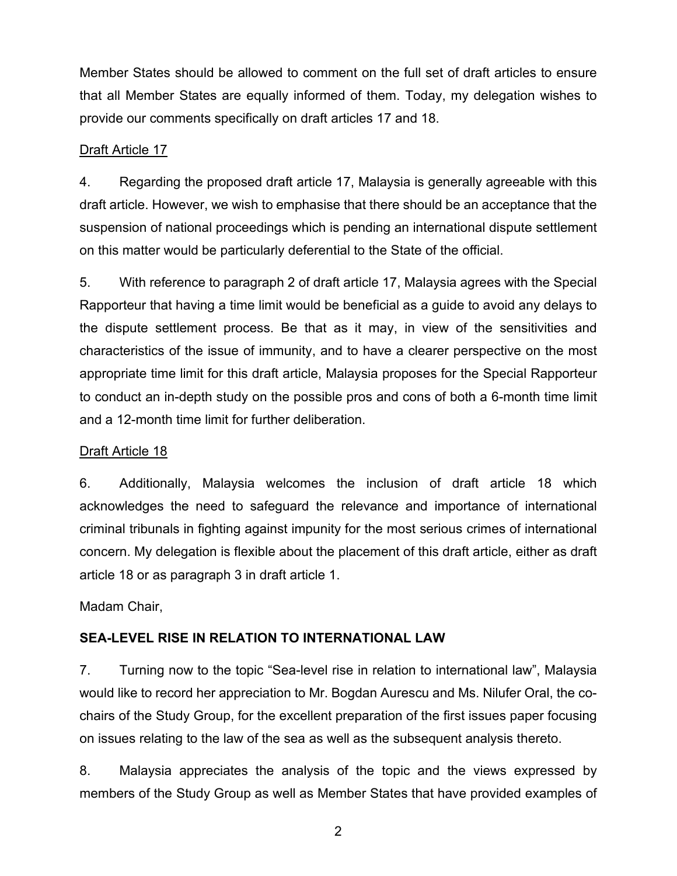Member States should be allowed to comment on the full set of draft articles to ensure that all Member States are equally informed of them. Today, my delegation wishes to provide our comments specifically on draft articles 17 and 18.

### Draft Article 17

4. Regarding the proposed draft article 17, Malaysia is generally agreeable with this draft article. However, we wish to emphasise that there should be an acceptance that the suspension of national proceedings which is pending an international dispute settlement on this matter would be particularly deferential to the State of the official.

5. With reference to paragraph 2 of draft article 17, Malaysia agrees with the Special Rapporteur that having a time limit would be beneficial as a guide to avoid any delays to the dispute settlement process. Be that as it may, in view of the sensitivities and characteristics of the issue of immunity, and to have a clearer perspective on the most appropriate time limit for this draft article, Malaysia proposes for the Special Rapporteur to conduct an in-depth study on the possible pros and cons of both a 6-month time limit and a 12-month time limit for further deliberation.

#### Draft Article 18

6. Additionally, Malaysia welcomes the inclusion of draft article 18 which acknowledges the need to safeguard the relevance and importance of international criminal tribunals in fighting against impunity for the most serious crimes of international concern. My delegation is flexible about the placement of this draft article, either as draft article 18 or as paragraph 3 in draft article 1.

Madam Chair,

## **SEA-LEVEL RISE IN RELATION TO INTERNATIONAL LAW**

7. Turning now to the topic "Sea-level rise in relation to international law", Malaysia would like to record her appreciation to Mr. Bogdan Aurescu and Ms. Nilufer Oral, the cochairs of the Study Group, for the excellent preparation of the first issues paper focusing on issues relating to the law of the sea as well as the subsequent analysis thereto.

8. Malaysia appreciates the analysis of the topic and the views expressed by members of the Study Group as well as Member States that have provided examples of